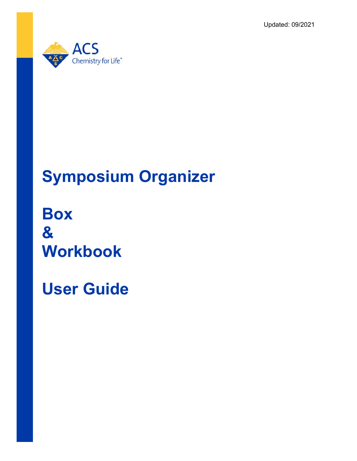Updated: 09/2021



# **Symposium Organizer**

**Box & Workbook**

**User Guide**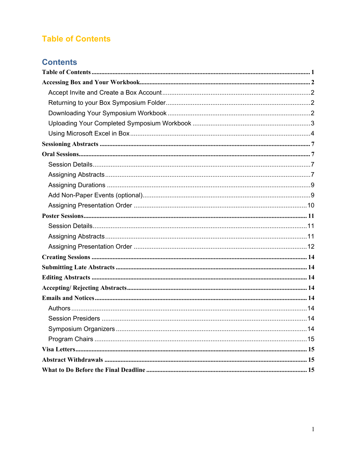# <span id="page-1-0"></span>**Table of Contents**

# **Contents**

<span id="page-1-1"></span>

| . 14 |
|------|
|      |
|      |
|      |
|      |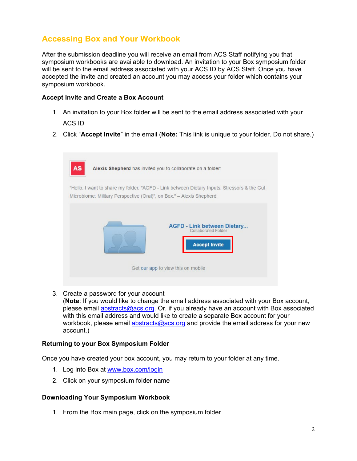# **Accessing Box and Your Workbook**

After the submission deadline you will receive an email from ACS Staff notifying you that symposium workbooks are available to download. An invitation to your Box symposium folder will be sent to the email address associated with your ACS ID by ACS Staff. Once you have accepted the invite and created an account you may access your folder which contains your symposium workbook.

#### <span id="page-2-0"></span>**Accept Invite and Create a Box Account**

- 1. An invitation to your Box folder will be sent to the email address associated with your ACS ID
- 2. Click "**Accept Invite**" in the email (**Note:** This link is unique to your folder. Do not share.)



3. Create a password for your account

(**Note**: If you would like to change the email address associated with your Box account, please email [abstracts@acs.org.](mailto:abstracts@acs.org) Or, if you already have an account with Box associated with this email address and would like to create a separate Box account for your workbook, please email [abstracts@acs.org](mailto:abstracts@acs.org) and provide the email address for your new account.)

#### <span id="page-2-1"></span>**Returning to your Box Symposium Folder**

Once you have created your box account, you may return to your folder at any time.

- 1. Log into Box at [www.box.com/login](http://www.box.com/login)
- 2. Click on your symposium folder name

#### <span id="page-2-2"></span>**Downloading Your Symposium Workbook**

1. From the Box main page, click on the symposium folder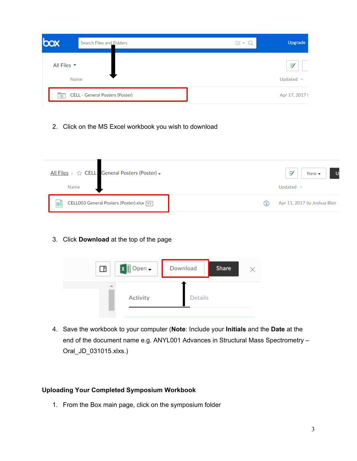| box                            | Search Files and Folders        | $\frac{-1}{-0.1}$<br>ner. | Upgrade        |
|--------------------------------|---------------------------------|---------------------------|----------------|
| All Files $\blacktriangledown$ |                                 |                           | ヺ              |
|                                | Name<br>-332-1245-1             |                           | Updated $\vee$ |
| $\circledcirc$                 | CELL - General Posters (Poster) |                           | Apr 17, 2017 l |

2. Click on the MS Excel workbook you wish to download

| All Files > $\triangle$ CELL General Posters (Poster) +<br>Name |   | U<br>$New -$<br>Updated $\land$ |
|-----------------------------------------------------------------|---|---------------------------------|
| CELL003 General Posters (Poster).xlsx [V2]<br>囯                 | Φ | Apr 11, 2017 by Joshua Blair    |

3. Click **Download** at the top of the page



4. Save the workbook to your computer (**Note**: Include your **Initials** and the **Date** at the end of the document name e.g. ANYL001 Advances in Structural Mass Spectrometry – Oral\_JD\_031015.xlxs.)

## <span id="page-3-0"></span>**Uploading Your Completed Symposium Workbook**

1. From the Box main page, click on the symposium folder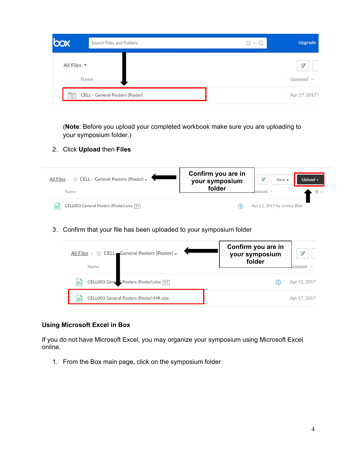|             | Search Files and Folders        | $\frac{1}{\omega_1} \frac{1}{\omega_2} \quad \forall \quad \, \alpha$ | Upgrade        |
|-------------|---------------------------------|-----------------------------------------------------------------------|----------------|
| All Files v |                                 |                                                                       | F              |
|             | Name                            |                                                                       | Updated $\vee$ |
| $\circ$     | CELL - General Posters (Poster) |                                                                       | Apr 17, 2017 ł |

(**Note**: Before you upload your completed workbook make sure you are uploading to your symposium folder.)

2. Click **Upload** then **Files**



3. Confirm that your file has been uploaded to your symposium folder

| All Files > ☆ CELL General Posters (Poster) +<br>Name | Confirm you are in<br>your symposium<br>folder | $\Rightarrow$<br>Jndated |
|-------------------------------------------------------|------------------------------------------------|--------------------------|
| CELL003 Gene L Posters (Poster).xlsx [V2]<br>囯        |                                                | Apr 11, 2017             |
| CELL003 General Posters (Poster) MR.xlsx<br>晿         |                                                | Apr 17, 2017             |

#### <span id="page-4-0"></span>**Using Microsoft Excel in Box**

If you do not have Microsoft Excel, you may organize your symposium using Microsoft Excel online.

1. From the Box main page, click on the symposium folder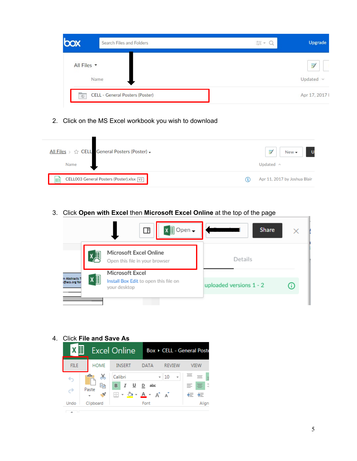| XOC                            | Search Files and Folders        | $\frac{1}{\omega_1} \frac{1}{\omega_2}$ | Upgrade        |
|--------------------------------|---------------------------------|-----------------------------------------|----------------|
| All Files $\blacktriangledown$ |                                 |                                         | Î              |
|                                | Name                            |                                         | Updated $\vee$ |
| $\circledcirc$                 | CELL - General Posters (Poster) |                                         | Apr 17, 2017 l |

2. Click on the MS Excel workbook you wish to download

| All Files > $\Diamond$ CELL General Posters (Poster) + | $\Rightarrow$<br>$New -$            |
|--------------------------------------------------------|-------------------------------------|
| Name                                                   | Updated $\land$                     |
| CELL003 General Posters (Poster).xlsx [V2]<br>囯        | Apr 11, 2017 by Joshua Blair<br>(4) |

3. Click **Open with Excel** then **Microsoft Excel Online** at the top of the page



4. Click **File and Save As**

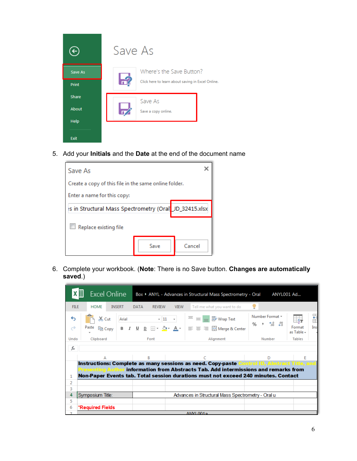

5. Add your **Initials** and the **Date** at the end of the document name



6. Complete your workbook. (**Note**: There is no Save button. **Changes are automatically saved**.)

|                | ⋕<br><b>Excel Online</b>     |                                             | Box ▶ ANYL - Advances in Structural Mass Spectrometry - Oral                                                                                                                                                                                                                                                                                                                                                                                                                                                                                                                                             | ANYL001 Ad                                                                      |                                          |
|----------------|------------------------------|---------------------------------------------|----------------------------------------------------------------------------------------------------------------------------------------------------------------------------------------------------------------------------------------------------------------------------------------------------------------------------------------------------------------------------------------------------------------------------------------------------------------------------------------------------------------------------------------------------------------------------------------------------------|---------------------------------------------------------------------------------|------------------------------------------|
| <b>FILE</b>    | <b>HOME</b><br><b>INSERT</b> | <b>DATA</b><br><b>REVIEW</b><br><b>VIEW</b> | Tell me what you want to do                                                                                                                                                                                                                                                                                                                                                                                                                                                                                                                                                                              |                                                                                 |                                          |
| ↔<br>θ         | $66$ Cut                     |                                             | Arial $\overline{\phantom{a}}$ $\overline{\phantom{a}}$ $\overline{\phantom{a}}$ $\overline{\phantom{a}}$ $\overline{\phantom{a}}$ $\overline{\phantom{a}}$ $\overline{\phantom{a}}$ $\overline{\phantom{a}}$ $\overline{\phantom{a}}$ $\overline{\phantom{a}}$ $\overline{\phantom{a}}$ $\overline{\phantom{a}}$ $\overline{\phantom{a}}$ $\overline{\phantom{a}}$ $\overline{\phantom{a}}$ $\overline{\phantom{a}}$ $\overline{\phantom{a}}$ $\overline{\phantom{a}}$<br>Paste $\log$ Copy   B $I \subseteq \mathbb{R}$ + $\mathbb{Q}$ + $\mathbb{A}$ + $\equiv \equiv \equiv \boxplus$ Merge & Center | Number Format *<br>$\frac{96}{9}$ $\frac{1}{10}$ $\frac{60}{9}$ $\frac{00}{10}$ | HT<br>EA-<br>Format<br>Ins<br>as Table - |
| Undo           | Clipboard                    | Font                                        | Alignment                                                                                                                                                                                                                                                                                                                                                                                                                                                                                                                                                                                                | Number                                                                          | <b>Tables</b>                            |
| $f_x$          |                              |                                             |                                                                                                                                                                                                                                                                                                                                                                                                                                                                                                                                                                                                          |                                                                                 |                                          |
|                | А                            |                                             |                                                                                                                                                                                                                                                                                                                                                                                                                                                                                                                                                                                                          |                                                                                 |                                          |
|                |                              |                                             | Instructions: Complete as many sessions as need. Copy-paste Control ID, Abstract Title, and<br>Presenting Author i <b>nformation from Abstracts Tab. Add intermissions and remarks from</b><br>Non-Paper Events tab. Total session durations must not exceed 240 minutes. Contact                                                                                                                                                                                                                                                                                                                        |                                                                                 |                                          |
| 2              |                              |                                             |                                                                                                                                                                                                                                                                                                                                                                                                                                                                                                                                                                                                          |                                                                                 |                                          |
| 3<br>4         | Symposium Title:             |                                             | Advances in Structural Mass Spectrometry - Oral u                                                                                                                                                                                                                                                                                                                                                                                                                                                                                                                                                        |                                                                                 |                                          |
| 5              |                              |                                             |                                                                                                                                                                                                                                                                                                                                                                                                                                                                                                                                                                                                          |                                                                                 |                                          |
| 6              | *Required Fields             |                                             |                                                                                                                                                                                                                                                                                                                                                                                                                                                                                                                                                                                                          |                                                                                 |                                          |
| $\overline{ }$ |                              |                                             | $\triangle NNI$ $001a$                                                                                                                                                                                                                                                                                                                                                                                                                                                                                                                                                                                   |                                                                                 |                                          |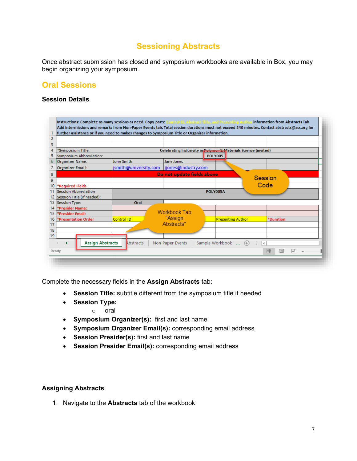# **Sessioning Abstracts**

<span id="page-7-0"></span>Once abstract submission has closed and symposium workbooks are available in Box, you may begin organizing your symposium.

## <span id="page-7-1"></span>**Oral Sessions**

#### <span id="page-7-2"></span>**Session Details**

| $\overline{2}$                   |                       |                            |                                                                   |                |                  |
|----------------------------------|-----------------------|----------------------------|-------------------------------------------------------------------|----------------|------------------|
| 3                                |                       |                            |                                                                   |                |                  |
| *Symposium Title:<br>4           |                       |                            | Celebrating Inclusivity in Pelymer 2. Materials Science (invited) |                |                  |
| 5<br>Symposium Abbreviation:     |                       |                            | <b>POLY005</b>                                                    |                |                  |
| 6<br>Organizer Name:             | John Smith            | Jane Jones                 |                                                                   |                |                  |
| <b>Organizer Email:</b>          | jsmith@university.com | jjones@industry.com        |                                                                   |                |                  |
| 8                                |                       | Do not update fields above |                                                                   |                |                  |
| 9                                |                       |                            |                                                                   | <b>Session</b> |                  |
| 10<br>*Required Fields           |                       |                            |                                                                   | Code           |                  |
| Session Abbreviation<br>11       |                       |                            | <b>POLY005A</b>                                                   |                |                  |
| Session Title (if needed):<br>12 |                       |                            |                                                                   |                |                  |
| 13<br>Session Type:              | Oral                  |                            |                                                                   |                |                  |
| *Presider Name:<br>14            |                       |                            |                                                                   |                |                  |
| 15<br>*Presider Email:           |                       | Workbook Tab               |                                                                   |                |                  |
| 16<br>*Presentation Order        | Control ID            | "Assign                    | <b>Presenting Author</b>                                          |                | <b>*Duration</b> |
| 17                               |                       | Abstracts"                 |                                                                   |                |                  |
| 18                               |                       |                            |                                                                   |                |                  |
| 19                               |                       |                            |                                                                   |                |                  |
| <b>Assign Abstracts</b><br>٠     | Abstracts             | Non-Paper Events           | Sample Workbook  (+)   4                                          |                |                  |
|                                  |                       |                            |                                                                   |                |                  |

Complete the necessary fields in the **Assign Abstracts** tab:

- **Session Title:** subtitle different from the symposium title if needed
- **Session Type:**
	- o oral
- **Symposium Organizer(s):** first and last name
- **Symposium Organizer Email(s):** corresponding email address
- **Session Presider(s):** first and last name
- **Session Presider Email(s):** corresponding email address

#### <span id="page-7-3"></span>**Assigning Abstracts**

1. Navigate to the **Abstracts** tab of the workbook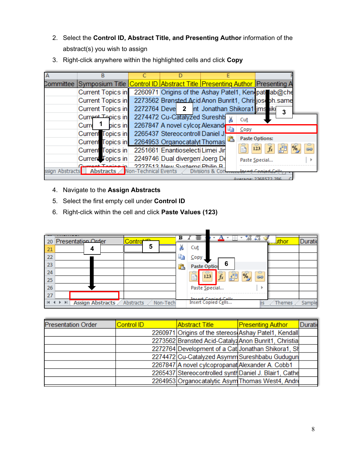- 2. Select the **Control ID, Abstract Title, and Presenting Author** information of the abstract(s) you wish to assign
- 3. Right-click anywhere within the highlighted cells and click **Copy**

|                 | в                                                                                                     |                                                      |                 |      |                                           |
|-----------------|-------------------------------------------------------------------------------------------------------|------------------------------------------------------|-----------------|------|-------------------------------------------|
|                 | Committee  Symposium Title <mark> Control ID  Abstract Title  Presenting Author  </mark> Presenting A |                                                      |                 |      |                                           |
|                 | <b>Current Topics in</b>                                                                              | 2260971 Origins of the Ashay Patel1, Kenipate ab@che |                 |      |                                           |
|                 | Current Topics in                                                                                     | 2273562 Brønsted Acid Anon Bunrit1, Chrisjoseph.same |                 |      |                                           |
|                 | Current Topics in                                                                                     | 2272764 Deve 2 Int Jonathan Shikora1 jms iki         |                 |      |                                           |
|                 | Current Topics in                                                                                     | 2274472 Cu-Catalyzed Sureshb                         |                 | Cut  |                                           |
|                 | pics in<br>Curre                                                                                      | 2267847 A novel cylcor Alexand                       |                 |      |                                           |
|                 | Current Topics in                                                                                     | 2265437 Stereocontroll Daniel J.                     |                 | Copy |                                           |
|                 | Current Topics in 2264953 Organocatalyt Thomas                                                        |                                                      |                 |      | <b>Paste Options:</b><br>₩                |
|                 | Current Topics in                                                                                     | 2251661 Enantioselecti Limei Jir                     |                 | B    | $\overline{\%}$<br>奸<br>$f_x$<br>œ<br>123 |
|                 | Current Topics in                                                                                     | 2249746 Dual divergen Joerg De                       |                 |      | Paste Special                             |
| ssign Abstracts | Abstracts Non-Technical Events                                                                        | 2227513 Now Systems Philin R                         | Divisions & Cor |      | Incert Conjed Celli                       |
|                 |                                                                                                       |                                                      |                 |      | Average: 2268572.286                      |

- 4. Navigate to the **Assign Abstracts**
- 5. Select the first empty cell under **Control ID**
- 6. Right-click within the cell and click **Paste Values (123)**

| Presentation Order<br>20                         | Contro <sup>t to</sup> |     | B <i>I</i> 를               | 壨                                      | $60 + 0$ | <b>Luthor</b> | Duratio |
|--------------------------------------------------|------------------------|-----|----------------------------|----------------------------------------|----------|---------------|---------|
| 21<br>4                                          | 5                      | æ   | Cut                        |                                        |          |               |         |
| 22                                               |                        | Lib | <u>Copy</u>                |                                        |          |               |         |
| 23                                               |                        |     | Paste Option               | 6                                      |          |               |         |
| 24                                               |                        |     | $\frac{2}{123}$<br>T.<br>ē | ė<br>$\frac{1}{2}$<br>$\overline{f}$ x | ÷<br>GĐ  |               |         |
| 25                                               |                        |     |                            |                                        |          |               |         |
| 26                                               |                        |     | Paste Special              |                                        | ь        |               |         |
| 27                                               |                        |     | Incart Conjed Cells        |                                        |          |               |         |
| <b>Assign Abstracts</b><br>$\blacktriangleright$ | Non-Tech<br>Abstracts  |     | <b>Insert Copied Cells</b> |                                        | es       | Themes        | Sample  |

 $\blacksquare$ 

| <b>Presentation Order</b> | Control ID | Abstract Title                                         | <b>Presenting Author</b> | <b>Duratio</b> |
|---------------------------|------------|--------------------------------------------------------|--------------------------|----------------|
|                           |            | 2260971 Origins of the stereos Ashay Patel1, Kendall   |                          |                |
|                           |            | 2273562 Brønsted Acid-Catalyz Anon Bunrit1, Christia   |                          |                |
|                           |            | 2272764 Development of a Cat Jonathan Shikora1, Sh     |                          |                |
|                           |            | 2274472 Cu-Catalyzed Asymm Sureshbabu Gudugun          |                          |                |
|                           |            | 2267847 A novel cylcopropanat Alexander A. Cobb1       |                          |                |
|                           |            | 2265437 Stereocontrolled synth Daniel J. Blair1, Cathe |                          |                |
|                           |            | 2264953 Organocatalytic Asym Thomas West4, Andre       |                          |                |
|                           |            |                                                        |                          |                |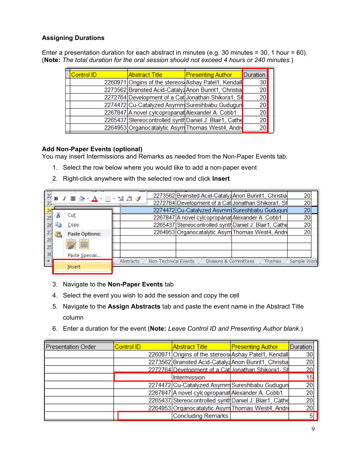## <span id="page-9-0"></span>**Assigning Durations**

Enter a presentation duration for each abstract in minutes (e.g. 30 minutes = 30, 1 hour = 60). (**Note:** *The total duration for the oral session should not exceed 4 hours or 240 minutes.*)

| Control ID | <b>Abstract Title</b>                                  | <b>Presenting Author</b> | Duration |  |
|------------|--------------------------------------------------------|--------------------------|----------|--|
|            | 2260971 Origins of the stereos Ashay Patel1, Kendall   |                          | 30       |  |
|            | 2273562 Brønsted Acid-Catalyz Anon Bunrit1, Christia   |                          | 20       |  |
|            | 2272764 Development of a Cat Jonathan Shikora1, Sh     |                          | 20       |  |
|            | 2274472 Cu-Catalyzed Asymm Sureshbabu Gudugun          |                          | 20       |  |
|            | 2267847 A novel cylcopropanat Alexander A. Cobb1       |                          | 20       |  |
|            | 2265437 Stereocontrolled synth Daniel J. Blair1, Cathe |                          | 20       |  |
|            | 2264953 Organocatalytic Asym Thomas West4, Andre       |                          | 20       |  |
|            |                                                        |                          |          |  |

#### <span id="page-9-1"></span>**Add Non-Paper Events (optional)**

You may insert Intermissions and Remarks as needed from the Non-Paper Events tab.

- 1. Select the row below where you would like to add a non-paper event
- 2. Right-click anywhere with the selected row and click **Insert**

|                |  | <b>B</b> <i>I</i> ≣ <u>À · A</u> · ⊞ · 18 -28 √ |  |           |                      |                                                  | 2273562 Brønsted Acid-Catalyz Anon Bunrit1, Christia   | 20          |  |
|----------------|--|-------------------------------------------------|--|-----------|----------------------|--------------------------------------------------|--------------------------------------------------------|-------------|--|
| $-23$          |  |                                                 |  |           |                      |                                                  | 2272764 Development of a Cat Jonathan Shikora1, Sh     | 20          |  |
|                |  |                                                 |  |           |                      |                                                  | 2274472 Cu-Catalyzed Asymm Sureshbabu Gudugun          | 20          |  |
|                |  | Cut                                             |  |           |                      | 2267847 A novel cylcopropanat Alexander A. Cobb1 |                                                        | 20          |  |
|                |  | Copy                                            |  |           |                      |                                                  | 2265437 Stereocontrolled synth Daniel J. Blair1, Cathe | 20          |  |
|                |  | <b>Paste Options:</b>                           |  |           |                      |                                                  | 2264953 Organocatalytic Asym Thomas West4, Andre       | 20          |  |
|                |  |                                                 |  |           |                      |                                                  |                                                        |             |  |
|                |  | 財営                                              |  |           |                      |                                                  |                                                        |             |  |
| 3 <sub>0</sub> |  | Paste Special                                   |  |           |                      |                                                  |                                                        |             |  |
| $\vert \vert$  |  |                                                 |  | Abstracts | Non-Technical Events | Divisions & Committees                           | <b>Themes</b>                                          | Sample Work |  |
|                |  | Insert                                          |  |           |                      |                                                  |                                                        |             |  |

- 3. Navigate to the **Non-Paper Events** tab
- 4. Select the event you wish to add the session and copy the cell
- 5. Navigate to the **Assign Abstracts** tab and paste the event name in the Abstract Title column
- 6. Enter a duration for the event (**Note:** *Leave Control ID and Presenting Author blank.*)

| <b>Presentation Order</b> | <b>Control ID</b> | <b>Abstract Title</b>                                  | <b>Presenting Author</b> | Duration |
|---------------------------|-------------------|--------------------------------------------------------|--------------------------|----------|
|                           |                   | 2260971 Origins of the stereos Ashay Patel1, Kendall   |                          | 30       |
|                           |                   | 2273562 Brønsted Acid-Catalyz Anon Bunrit1, Christia   |                          | 20       |
|                           |                   | 2272764 Development of a Catl Jonathan Shikora1, Sl    |                          | 20       |
|                           |                   | Intermission                                           |                          | 15       |
|                           |                   | 2274472 Cu-Catalyzed Asymm Sureshbabu Gudugun          |                          | 20       |
|                           |                   | 2267847 A novel cylcopropanat Alexander A. Cobb1       |                          | 20       |
|                           |                   | 2265437 Stereocontrolled synth Daniel J. Blair1, Cathe |                          | 20       |
|                           |                   | 2264953 Organocatalytic Asym Thomas West4, Andre       |                          | 20       |
|                           |                   | Concluding Remarks                                     |                          |          |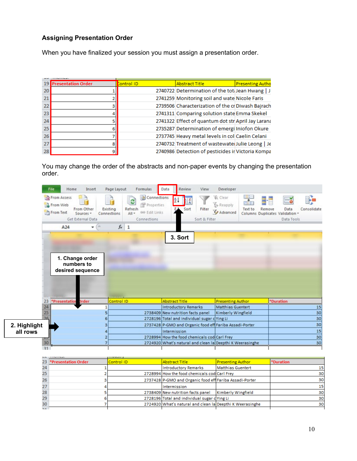## <span id="page-10-0"></span>**Assigning Presentation Order**

When you have finalized your session you must assign a presentation order.

|                 | <b>Presentation Order</b> | Control ID | <b>Abstract Title</b>                              | <b>Presenting Autho</b> |
|-----------------|---------------------------|------------|----------------------------------------------------|-------------------------|
| 20 <sup>1</sup> |                           |            | 2740722 Determination of the tot Jean Hwang   J    |                         |
| 21              |                           |            | 2741259 Monitoring soil and wate Nicole Faris      |                         |
| 22              |                           |            | 2739506 Characterization of the cr Diwash Bajrach  |                         |
| 23              |                           |            | 2741311 Comparing solution state Emma Skekel       |                         |
| 24              |                           |            | 2741322 Effect of quantum dot str April Jay Larana |                         |
| 25 <sup>2</sup> |                           |            | 2735287 Determination of emergi Iniofon Okure      |                         |
| 26              |                           |            | 2737745 Heavy metal levels in col Caelin Celani    |                         |
| 27              |                           |            | 2740732 Treatment of wastewate Julie Leong   Je    |                         |
| 28              |                           |            | 2740986 Detection of pesticides in Victoria Kompa  |                         |

You may change the order of the abstracts and non-paper events by changing the presentation order.

|              | File.  | Home<br>Insert                                                                                  | Page Layout<br><b>Formulas</b>                                                                                        | Data<br>Review<br>View                                    | Developer                                                     |                                                                                       |
|--------------|--------|-------------------------------------------------------------------------------------------------|-----------------------------------------------------------------------------------------------------------------------|-----------------------------------------------------------|---------------------------------------------------------------|---------------------------------------------------------------------------------------|
|              |        | <b>TAI</b> From Access<br>From Web<br>From Other<br>From Text<br>Sources *<br>Get External Data | Connections<br>C)<br>Properties<br><b>Existing</b><br>Refresh<br>60 Edit Links<br>All +<br>Connections<br>Connections | Sort<br>Filter<br>Sort & Filter                           | k Clear<br><b>Sy Reapply</b><br>Text to<br>Remove<br>Advanced | Consolidate<br>Data<br>Columns Duplicates Validation -<br>Data Tools                  |
|              |        | A24<br>m<br>٠                                                                                   | $f_x$ 1                                                                                                               |                                                           |                                                               |                                                                                       |
|              |        | 1. Change order<br>numbers to<br>desired sequence                                               |                                                                                                                       | 3. Sort                                                   |                                                               |                                                                                       |
|              | 23     | *Presentation<br><b>Order</b>                                                                   | Control ID                                                                                                            | <b>Abstract Title</b>                                     | <b>Presenting Author</b>                                      | *Duration                                                                             |
|              | 24     |                                                                                                 |                                                                                                                       | <b>Introductory Remarks</b>                               | <b>Matthias Guentert</b>                                      | 15                                                                                    |
|              | 25     | 5                                                                                               |                                                                                                                       | 2738409 New nutrition facts panel                         | Kimberly Wingfield                                            | $\frac{30}{30}$                                                                       |
|              | 26     | 6                                                                                               |                                                                                                                       | 2728196 Total and individual sugar c Ying Li              |                                                               |                                                                                       |
| 2. Highlight |        | 3                                                                                               |                                                                                                                       | 2737428 P-GMO and Organic food eff Fariba Assadi-Porter   |                                                               |                                                                                       |
| all rows     |        |                                                                                                 |                                                                                                                       | Intermission                                              |                                                               |                                                                                       |
|              |        |                                                                                                 |                                                                                                                       | 2728994 How the food chemicals cod Carl Frey              |                                                               | $\begin{array}{r}\n 30 \\  \hline\n 15 \\  \hline\n 30 \\  \hline\n 30\n \end{array}$ |
|              | 30     |                                                                                                 |                                                                                                                       | 2724920 What's natural and clean la Deepthi K Weerasinghe |                                                               |                                                                                       |
|              | 31     |                                                                                                 |                                                                                                                       |                                                           |                                                               |                                                                                       |
|              | 23     | *Presentation Order                                                                             | Control ID                                                                                                            | <b>Abstract Title</b>                                     | <b>Presenting Author</b>                                      | *Duration                                                                             |
|              | 24     | 1                                                                                               |                                                                                                                       | <b>Introductory Remarks</b>                               | <b>Matthias Guentert</b>                                      | 15                                                                                    |
|              | 25     | $\overline{2}$                                                                                  |                                                                                                                       | 2728994 How the food chemicals cod Carl Frey              |                                                               | 30                                                                                    |
|              | 26     | 3                                                                                               |                                                                                                                       | 2737428 P-GMO and Organic food eff Fariba Assadi-Porter   |                                                               | 30                                                                                    |
|              | 27     | 4                                                                                               |                                                                                                                       | Intermission                                              |                                                               | 15                                                                                    |
|              | 28     | 5                                                                                               |                                                                                                                       | 2738409 New nutrition facts panel                         | Kimberly Wingfield                                            | 30                                                                                    |
|              | 29     | 6                                                                                               |                                                                                                                       | 2728196 Total and individual sugar cYing Li               |                                                               | 30                                                                                    |
|              | 30     | 7                                                                                               |                                                                                                                       | 2724920 What's natural and clean la Deepthi K Weerasinghe |                                                               | 30                                                                                    |
|              | $\sim$ |                                                                                                 |                                                                                                                       |                                                           |                                                               |                                                                                       |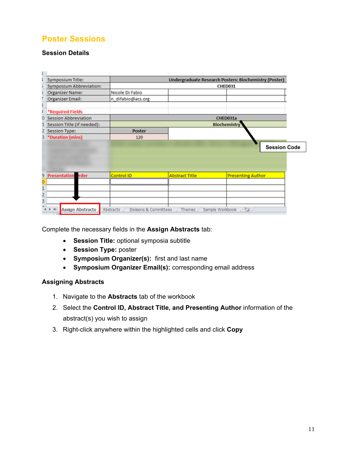# <span id="page-11-0"></span>**Poster Sessions**

#### <span id="page-11-1"></span>**Session Details**

| <b>Symposium Title:</b>          |                                     |                       | <b>Undergraduate Research Posters: Biochemistry (Poster)</b> |
|----------------------------------|-------------------------------------|-----------------------|--------------------------------------------------------------|
| <b>Symposium Abbreviation:</b>   |                                     |                       | <b>CHED031</b>                                               |
| <b>Organizer Name:</b>           | Nicole Di Fabio                     |                       |                                                              |
| <b>Organizer Email:</b>          | n difabio@acs.org                   |                       |                                                              |
|                                  |                                     |                       |                                                              |
| *Required Fields                 |                                     |                       |                                                              |
| <b>Session Abbreviation</b><br>0 |                                     |                       | CHED031a                                                     |
| Session Title (if needed):       |                                     |                       | <b>Biochemistry</b>                                          |
| 2<br><b>Session Type:</b>        | <b>Poster</b>                       |                       |                                                              |
| *Duration (mins)<br>3            | 120                                 |                       |                                                              |
|                                  |                                     |                       | <b>Session Code</b>                                          |
| <b>Presentation Irder</b><br>9   | Control ID                          | <b>Abstract Title</b> | <b>Presenting Author</b>                                     |
|                                  |                                     |                       |                                                              |
|                                  |                                     |                       |                                                              |
|                                  |                                     |                       |                                                              |
| 3                                |                                     |                       |                                                              |
| <b>Assign Abstracts</b><br>H     | Abstracts<br>Divisions & Committees | Themes                | ಲ<br>Sample Workbook                                         |
|                                  |                                     |                       |                                                              |

Complete the necessary fields in the **Assign Abstracts** tab:

- **Session Title:** optional symposia subtitle
- **Session Type:** poster
- **Symposium Organizer(s):** first and last name
- **Symposium Organizer Email(s):** corresponding email address

#### <span id="page-11-2"></span>**Assigning Abstracts**

- 1. Navigate to the **Abstracts** tab of the workbook
- 2. Select the **Control ID, Abstract Title, and Presenting Author** information of the abstract(s) you wish to assign
- 3. Right-click anywhere within the highlighted cells and click **Copy**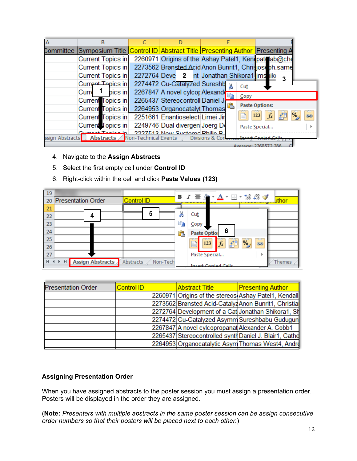|                 | в                                                                                                     |                                                      |                |                         |                          |
|-----------------|-------------------------------------------------------------------------------------------------------|------------------------------------------------------|----------------|-------------------------|--------------------------|
|                 | Committee  Symposium Title <mark> Control ID  Abstract Title  Presenting Author  </mark> Presenting A |                                                      |                |                         |                          |
|                 | <b>Current Topics in</b>                                                                              | 2260971 Origins of the Ashay Patel1, Kenipati ab@che |                |                         |                          |
|                 | Current Topics in                                                                                     | 2273562 Brønsted Acid Anon Bunrit1, Chrisjosobh.same |                |                         |                          |
|                 | Current Topics in                                                                                     | 2272764 Deve 2 nt Jonathan Shikora1 ims ike          |                |                         | 3                        |
|                 | Current Topics in                                                                                     | 2274472 Cu-Catalyzed Sureshb                         | ¥              | Cut                     |                          |
|                 | pics in<br>Curre                                                                                      | 2267847 A novel cylcor Alexand                       |                | $\mathsf{Copy}$         |                          |
|                 | Current Topics in                                                                                     | 2265437 Stereocontroll Daniel J.                     |                |                         |                          |
|                 | Curren Topics in 2264953 Organocatalyt Thomas                                                         |                                                      |                | <b>Paste Options:</b>   |                          |
|                 | Current Topics in                                                                                     | 2251661 Enantioselecti Limei Jir                     |                | $\bar{f}$ x<br>Ā<br>123 | t<br>Go<br>$\frac{1}{2}$ |
|                 | Current Topics in                                                                                     | 2249746 Dual divergen Joerg De                       |                | Paste Special           |                          |
| ssign Abstracts | Abstracts Non-Technical Events                                                                        | 2227513 Now Systems Philin R                         | Divisions & Co |                         |                          |
|                 |                                                                                                       |                                                      |                | Average: 2268572-286    |                          |

#### 4. Navigate to the **Assign Abstracts**

- 5. Select the first empty cell under **Control ID**
- 6. Right-click within the cell and click **Paste Values (123)**

| 19 |                           |                       |    |                                                                        |
|----|---------------------------|-----------------------|----|------------------------------------------------------------------------|
| 20 | <b>Presentation Order</b> | <b>Control ID</b>     |    | <b>uthor</b><br>---------                                              |
| 21 |                           |                       |    |                                                                        |
| 22 | 4                         | 5                     | Ж  | Cut                                                                    |
| 23 |                           |                       | eb | Copy                                                                   |
| 24 |                           |                       | 亀  | 6<br>Paste Option                                                      |
| 25 |                           |                       |    | $\frac{1}{123}$<br>ê<br>$\frac{1}{2}$<br>÷<br>$\int \frac{dx}{x}$<br>蓹 |
| 26 |                           |                       |    | œ                                                                      |
| 27 |                           |                       |    | Paste Special<br>٠                                                     |
|    | <b>Assign Abstracts</b>   | Non-Tech<br>Abstracts |    | <b>Themes</b><br>Incart Conjed Cells                                   |

| Control ID | <b>Abstract Title</b> | <b>Presenting Author</b>                                                                                                                                                                                                                                                                                                                                                              |
|------------|-----------------------|---------------------------------------------------------------------------------------------------------------------------------------------------------------------------------------------------------------------------------------------------------------------------------------------------------------------------------------------------------------------------------------|
|            |                       |                                                                                                                                                                                                                                                                                                                                                                                       |
|            |                       |                                                                                                                                                                                                                                                                                                                                                                                       |
|            |                       |                                                                                                                                                                                                                                                                                                                                                                                       |
|            |                       |                                                                                                                                                                                                                                                                                                                                                                                       |
|            |                       |                                                                                                                                                                                                                                                                                                                                                                                       |
|            |                       |                                                                                                                                                                                                                                                                                                                                                                                       |
|            |                       |                                                                                                                                                                                                                                                                                                                                                                                       |
|            |                       | 2260971 Origins of the stereos Ashay Patel1, Kendall<br>2273562 Brønsted Acid-Catalyz Anon Bunrit1, Christia<br>2272764 Development of a Cat Jonathan Shikora1, Sh<br>2274472 Cu-Catalyzed Asymm Sureshbabu Gudugun<br>2267847 A novel cylcopropanat Alexander A. Cobb1<br>2265437 Stereocontrolled synth Daniel J. Blair1, Cathe<br>2264953 Organocatalytic Asym Thomas West4, Andre |

#### <span id="page-12-0"></span>**Assigning Presentation Order**

When you have assigned abstracts to the poster session you must assign a presentation order. Posters will be displayed in the order they are assigned.

(**Note:** *Presenters with multiple abstracts in the same poster session can be assign consecutive order numbers so that their posters will be placed next to each other.*)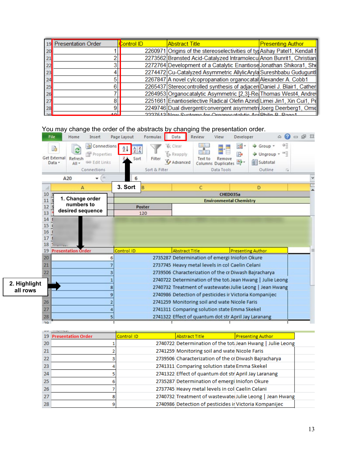|    | <b>Presentation Order</b> | <b>Control ID</b> | <b>Abstract Title</b>                                                    | <b>Presenting Author</b> |
|----|---------------------------|-------------------|--------------------------------------------------------------------------|--------------------------|
| 20 |                           |                   | 2260971 Origins of the stereoselectivities of typAshay Patel1, Kendall I |                          |
| 21 |                           |                   | 2273562 Brønsted Acid-Catalyzed Intramolecu Anon Bunrit1, Christian      |                          |
| 22 |                           |                   | 2272764 Development of a Catalytic Enantiose Jonathan Shikora1, She      |                          |
| 23 |                           |                   | 2274472 Cu-Catalyzed Asymmetric AllylicAryla Sureshbabu Guduguntl        |                          |
| 24 |                           |                   | 2267847 A novel cylcopropanation organocatal Alexander A. Cobb1          |                          |
| 25 | Բ                         |                   | 2265437 Stereocontrolled synthesis of adjacen Daniel J. Blair1, Cather   |                          |
| 26 |                           |                   | 2264953 Organocatalytic Asymmetric [2,3]-Re Thomas West4, Andre          |                          |
|    |                           |                   | 2251661 Enantioselective Radical Olefin Azirid Limei Jin1, Xin Cui1, Pd  |                          |
| 28 | 9                         |                   | 2249746 Dual divergent/convergent asymmetri Joerg Deerberg1, Omid        |                          |
| ാവ | للمه                      |                   | 2227512 Now Systems for Organizataktic As Philip R, Ragal                |                          |

# You may change the order of the abstracts by changing the presentation order.

|              | <b>File</b>                   | Home                          | Insert                                                             | Page Layout                                                                                | Formulas                | Data                                                                    | Review                                                 | View                                       | Developer                                    |                                                           | 0<br>۵                             | $\Box$ $\Box$ $\Box$ |  |
|--------------|-------------------------------|-------------------------------|--------------------------------------------------------------------|--------------------------------------------------------------------------------------------|-------------------------|-------------------------------------------------------------------------|--------------------------------------------------------|--------------------------------------------|----------------------------------------------|-----------------------------------------------------------|------------------------------------|----------------------|--|
|              | B<br>Get External<br>Data -   | e<br>Refresh<br>$All -$       | <b>D</b> Connections<br>Properties<br>60 Edit Links<br>Connections | $\frac{\mathbf{A}}{\mathbf{Z}}\begin{bmatrix}\mathbf{Z}\\ \mathbf{A}\end{bmatrix}$<br>Sort | Filter<br>Sort & Filter | & Clear<br><b>S</b> Reapply<br>V Advanced                               | <b>CREA</b><br>Text to                                 | Remove<br>Columns Duplicates<br>Data Tools | ᆱ<br>F.<br>酔                                 | Group -<br>Ungroup *<br>Subtotal<br>Outline               | ÷<br>$\rightarrow$ 7<br>$\sqrt{2}$ |                      |  |
|              |                               | A20                           | in.<br>٠                                                           | 6                                                                                          |                         |                                                                         |                                                        |                                            |                                              |                                                           |                                    |                      |  |
|              |                               | A                             |                                                                    | 3. Sort                                                                                    | B                       |                                                                         | $\mathsf{C}$                                           |                                            |                                              | D                                                         |                                    |                      |  |
|              | 10                            |                               |                                                                    |                                                                                            |                         |                                                                         |                                                        | CHED035a                                   |                                              |                                                           |                                    |                      |  |
|              | 11                            | 1. Change order<br>numbers to |                                                                    |                                                                                            |                         |                                                                         |                                                        |                                            | <b>Environmental Chemistry</b>               |                                                           |                                    |                      |  |
|              | $12$ $\overline{\phantom{a}}$ | desired sequence              |                                                                    |                                                                                            | <b>Poster</b>           |                                                                         |                                                        |                                            |                                              |                                                           |                                    |                      |  |
|              | 13<br>14                      |                               |                                                                    |                                                                                            | 120                     |                                                                         |                                                        |                                            |                                              |                                                           |                                    |                      |  |
|              | 15 <sup>1</sup>               |                               |                                                                    |                                                                                            |                         |                                                                         |                                                        |                                            |                                              |                                                           |                                    |                      |  |
|              | 16                            |                               |                                                                    |                                                                                            |                         |                                                                         |                                                        |                                            |                                              |                                                           |                                    |                      |  |
|              | 17                            |                               |                                                                    |                                                                                            |                         |                                                                         |                                                        |                                            |                                              |                                                           |                                    |                      |  |
|              | 18                            |                               |                                                                    |                                                                                            |                         |                                                                         |                                                        |                                            |                                              |                                                           |                                    |                      |  |
|              | 19                            | <b>Presentation Order</b>     |                                                                    | Control ID                                                                                 |                         | <b>Abstract Title</b>                                                   |                                                        |                                            | <b>Presenting Author</b>                     |                                                           |                                    |                      |  |
|              | 20                            |                               | я                                                                  |                                                                                            |                         |                                                                         | 2735287 Determination of emergi Iniofon Okure          |                                            |                                              |                                                           |                                    |                      |  |
|              | 21                            |                               |                                                                    |                                                                                            |                         |                                                                         | 2737745 Heavy metal levels in col Caelin Celani        |                                            |                                              |                                                           |                                    |                      |  |
|              | 22                            |                               |                                                                    |                                                                                            |                         |                                                                         | 2739506 Characterization of the cr Diwash Bajracharya  |                                            |                                              |                                                           |                                    |                      |  |
| 2. Highlight |                               |                               |                                                                    |                                                                                            |                         |                                                                         |                                                        |                                            |                                              | 2740722 Determination of the tot Jean Hwang   Julie Leong |                                    |                      |  |
| all rows     |                               |                               |                                                                    |                                                                                            |                         |                                                                         |                                                        |                                            |                                              | 2740732 Treatment of wastewater Julie Leong   Jean Hwang  |                                    |                      |  |
|              |                               |                               | ٩                                                                  |                                                                                            |                         |                                                                         | 2740986 Detection of pesticides ir Victoria Kompanijec |                                            |                                              |                                                           |                                    |                      |  |
|              | 26                            |                               |                                                                    |                                                                                            |                         |                                                                         | 2741259 Monitoring soil and wate Nicole Faris          |                                            |                                              |                                                           |                                    |                      |  |
|              | 27                            |                               |                                                                    |                                                                                            |                         |                                                                         | 2741311 Comparing solution state Emma Skekel           |                                            |                                              |                                                           |                                    |                      |  |
|              | 28<br>20                      |                               | 5                                                                  |                                                                                            |                         |                                                                         | 2741322 Effect of quantum dot str April Jay Laranang   |                                            |                                              |                                                           |                                    |                      |  |
|              |                               |                               |                                                                    |                                                                                            |                         |                                                                         |                                                        |                                            |                                              |                                                           |                                    |                      |  |
|              | 19                            | <b>Presentation Order</b>     |                                                                    | Control ID                                                                                 |                         |                                                                         | <b>Abstract Title</b>                                  |                                            |                                              | <b>Presenting Author</b>                                  |                                    |                      |  |
|              | 20                            |                               |                                                                    |                                                                                            |                         |                                                                         |                                                        |                                            |                                              | 2740722 Determination of the tot Jean Hwang   Julie Leong |                                    |                      |  |
|              | es al.                        |                               |                                                                    |                                                                                            |                         | $\sigma$ , as $\sigma$ for $\sigma$ and $\sigma$ is the set of $\sigma$ |                                                        |                                            | المخارجين فالمستحققة المستحدث المستحدا الاست |                                                           |                                    |                      |  |

| 20 |  |                                                        | 2740722 Determination of the toti Jean Hwang   Julie Leong |  |
|----|--|--------------------------------------------------------|------------------------------------------------------------|--|
| 21 |  | 2741259 Monitoring soil and wate Nicole Faris          |                                                            |  |
| 22 |  | 2739506 Characterization of the cr Diwash Bajracharya  |                                                            |  |
| 23 |  | 2741311 Comparing solution state Emma Skekel           |                                                            |  |
| 24 |  | 2741322 Effect of quantum dot str April Jay Laranang   |                                                            |  |
| 25 |  | 2735287 Determination of emergi Iniofon Okure          |                                                            |  |
| 26 |  | 2737745 Heavy metal levels in col Caelin Celani        |                                                            |  |
| 27 |  |                                                        | 2740732 Treatment of wastewate Julie Leong   Jean Hwang    |  |
| 28 |  | 2740986 Detection of pesticides ir Victoria Kompanijec |                                                            |  |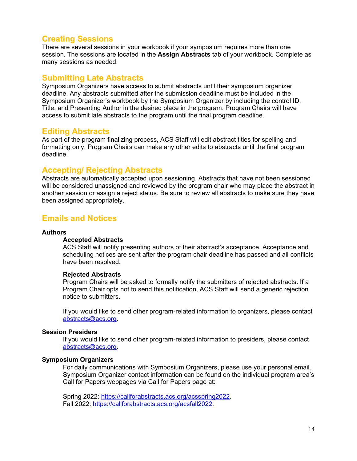## <span id="page-14-0"></span>**Creating Sessions**

There are several sessions in your workbook if your symposium requires more than one session. The sessions are located in the **Assign Abstracts** tab of your workbook. Complete as many sessions as needed.

## <span id="page-14-1"></span>**Submitting Late Abstracts**

Symposium Organizers have access to submit abstracts until their symposium organizer deadline. Any abstracts submitted after the submission deadline must be included in the Symposium Organizer's workbook by the Symposium Organizer by including the control ID, Title, and Presenting Author in the desired place in the program. Program Chairs will have access to submit late abstracts to the program until the final program deadline.

## <span id="page-14-2"></span>**Editing Abstracts**

As part of the program finalizing process, ACS Staff will edit abstract titles for spelling and formatting only. Program Chairs can make any other edits to abstracts until the final program deadline.

## <span id="page-14-3"></span>**Accepting/ Rejecting Abstracts**

Abstracts are automatically accepted upon sessioning. Abstracts that have not been sessioned will be considered unassigned and reviewed by the program chair who may place the abstract in another session or assign a reject status. Be sure to review all abstracts to make sure they have been assigned appropriately.

## <span id="page-14-4"></span>**Emails and Notices**

#### <span id="page-14-5"></span>**Authors**

#### **Accepted Abstracts**

ACS Staff will notify presenting authors of their abstract's acceptance. Acceptance and scheduling notices are sent after the program chair deadline has passed and all conflicts have been resolved.

#### **Rejected Abstracts**

Program Chairs will be asked to formally notify the submitters of rejected abstracts. If a Program Chair opts not to send this notification, ACS Staff will send a generic rejection notice to submitters.

If you would like to send other program-related information to organizers, please contact [abstracts@acs.org.](mailto:abstracts@acs.org)

#### <span id="page-14-6"></span>**Session Presiders**

If you would like to send other program-related information to presiders, please contact [abstracts@acs.org.](mailto:abstracts@acs.org)

#### <span id="page-14-7"></span>**Symposium Organizers**

For daily communications with Symposium Organizers, please use your personal email. Symposium Organizer contact information can be found on the individual program area's Call for Papers webpages via Call for Papers page at:

Spring 2022: [https://callforabstracts.acs.org/acsspring2022.](https://callforabstracts.acs.org/acsspring2022) Fall 2022: [https://callforabstracts.acs.org/acsfall2022.](https://callforabstracts.acs.org/acsfall2022)